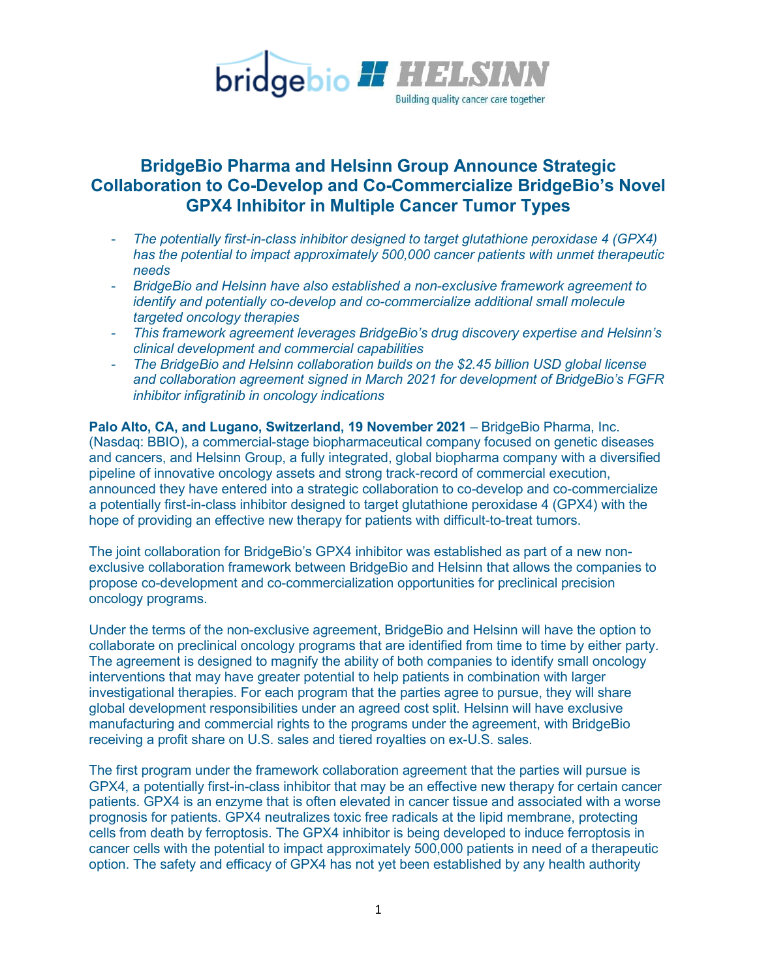

# **BridgeBio Pharma and Helsinn Group Announce Strategic Collaboration to Co-Develop and Co-Commercialize BridgeBio's Novel GPX4 Inhibitor in Multiple Cancer Tumor Types**

- *The potentially first-in-class inhibitor designed to target glutathione peroxidase 4 (GPX4) has the potential to impact approximately 500,000 cancer patients with unmet therapeutic needs*
- *BridgeBio and Helsinn have also established a non-exclusive framework agreement to identify and potentially co-develop and co-commercialize additional small molecule targeted oncology therapies*
- *This framework agreement leverages BridgeBio's drug discovery expertise and Helsinn's clinical development and commercial capabilities*
- *The BridgeBio and Helsinn collaboration builds on the \$2.45 billion USD global license and collaboration agreement signed in March 2021 for development of BridgeBio's FGFR inhibitor infigratinib in oncology indications*

**Palo Alto, CA, and Lugano, Switzerland, 19 November 2021** – BridgeBio Pharma, Inc. (Nasdaq: BBIO), a commercial-stage biopharmaceutical company focused on genetic diseases and cancers, and Helsinn Group, a fully integrated, global biopharma company with a diversified pipeline of innovative oncology assets and strong track-record of commercial execution, announced they have entered into a strategic collaboration to co*-*develop and co-commercialize a potentially first-in-class inhibitor designed to target glutathione peroxidase 4 (GPX4) with the hope of providing an effective new therapy for patients with difficult-to-treat tumors.

The joint collaboration for BridgeBio's GPX4 inhibitor was established as part of a new nonexclusive collaboration framework between BridgeBio and Helsinn that allows the companies to propose co-development and co-commercialization opportunities for preclinical precision oncology programs.

Under the terms of the non-exclusive agreement, BridgeBio and Helsinn will have the option to collaborate on preclinical oncology programs that are identified from time to time by either party. The agreement is designed to magnify the ability of both companies to identify small oncology interventions that may have greater potential to help patients in combination with larger investigational therapies. For each program that the parties agree to pursue, they will share global development responsibilities under an agreed cost split. Helsinn will have exclusive manufacturing and commercial rights to the programs under the agreement, with BridgeBio receiving a profit share on U.S. sales and tiered royalties on ex-U.S. sales.

The first program under the framework collaboration agreement that the parties will pursue is GPX4, a potentially first-in-class inhibitor that may be an effective new therapy for certain cancer patients. GPX4 is an enzyme that is often elevated in cancer tissue and associated with a worse prognosis for patients. GPX4 neutralizes toxic free radicals at the lipid membrane, protecting cells from death by ferroptosis. The GPX4 inhibitor is being developed to induce ferroptosis in cancer cells with the potential to impact approximately 500,000 patients in need of a therapeutic option. The safety and efficacy of GPX4 has not yet been established by any health authority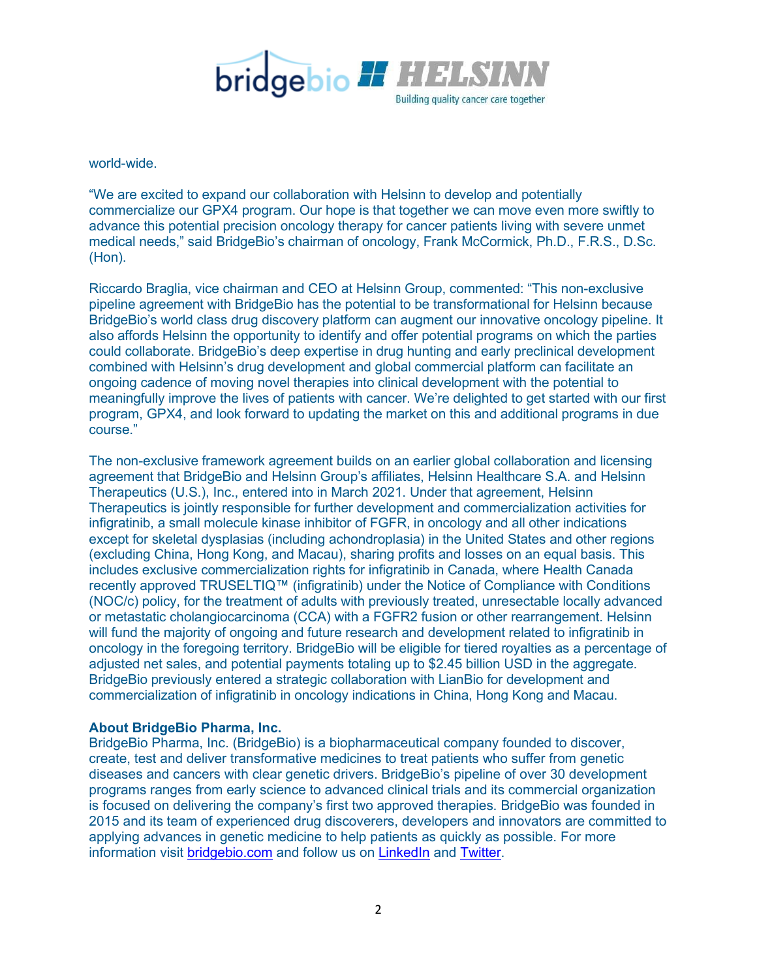

world-wide.

"We are excited to expand our collaboration with Helsinn to develop and potentially commercialize our GPX4 program. Our hope is that together we can move even more swiftly to advance this potential precision oncology therapy for cancer patients living with severe unmet medical needs," said BridgeBio's chairman of oncology, Frank McCormick, Ph.D., F.R.S., D.Sc. (Hon).

Riccardo Braglia, vice chairman and CEO at Helsinn Group, commented: "This non-exclusive pipeline agreement with BridgeBio has the potential to be transformational for Helsinn because BridgeBio's world class drug discovery platform can augment our innovative oncology pipeline. It also affords Helsinn the opportunity to identify and offer potential programs on which the parties could collaborate. BridgeBio's deep expertise in drug hunting and early preclinical development combined with Helsinn's drug development and global commercial platform can facilitate an ongoing cadence of moving novel therapies into clinical development with the potential to meaningfully improve the lives of patients with cancer. We're delighted to get started with our first program, GPX4, and look forward to updating the market on this and additional programs in due course."

The non-exclusive framework agreement builds on an earlier global collaboration and licensing agreement that BridgeBio and Helsinn Group's affiliates, Helsinn Healthcare S.A. and Helsinn Therapeutics (U.S.), Inc., entered into in March 2021. Under that agreement, Helsinn Therapeutics is jointly responsible for further development and commercialization activities for infigratinib, a small molecule kinase inhibitor of FGFR, in oncology and all other indications except for skeletal dysplasias (including achondroplasia) in the United States and other regions (excluding China, Hong Kong, and Macau), sharing profits and losses on an equal basis. This includes exclusive commercialization rights for infigratinib in Canada, where Health Canada recently approved TRUSELTIQ™ (infigratinib) under the Notice of Compliance with Conditions (NOC/c) policy, for the treatment of adults with previously treated, unresectable locally advanced or metastatic cholangiocarcinoma (CCA) with a FGFR2 fusion or other rearrangement. Helsinn will fund the majority of ongoing and future research and development related to infigratinib in oncology in the foregoing territory. BridgeBio will be eligible for tiered royalties as a percentage of adjusted net sales, and potential payments totaling up to \$2.45 billion USD in the aggregate. BridgeBio previously entered a strategic collaboration with LianBio for development and commercialization of infigratinib in oncology indications in China, Hong Kong and Macau.

## **About BridgeBio Pharma, Inc.**

BridgeBio Pharma, Inc. (BridgeBio) is a biopharmaceutical company founded to discover, create, test and deliver transformative medicines to treat patients who suffer from genetic diseases and cancers with clear genetic drivers. BridgeBio's pipeline of over 30 development programs ranges from early science to advanced clinical trials and its commercial organization is focused on delivering the company's first two approved therapies. BridgeBio was founded in 2015 and its team of experienced drug discoverers, developers and innovators are committed to applying advances in genetic medicine to help patients as quickly as possible. For more information visit [bridgebio.com](https://bridgebio.com/) and follow us on [LinkedIn](https://www.linkedin.com/company/bridgebio) and [Twitter.](https://twitter.com/BridgeBioPharma)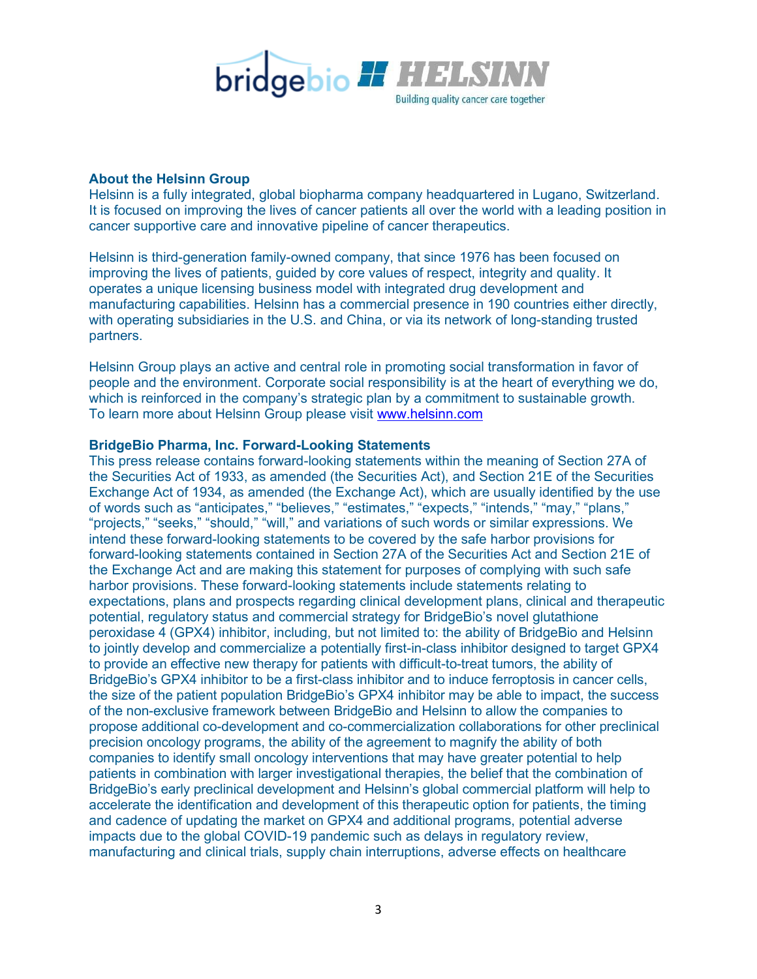

### **About the Helsinn Group**

Helsinn is a fully integrated, global biopharma company headquartered in Lugano, Switzerland. It is focused on improving the lives of cancer patients all over the world with a leading position in cancer supportive care and innovative pipeline of cancer therapeutics.

Helsinn is third-generation family-owned company, that since 1976 has been focused on improving the lives of patients, guided by core values of respect, integrity and quality. It operates a unique licensing business model with integrated drug development and manufacturing capabilities. Helsinn has a commercial presence in 190 countries either directly, with operating subsidiaries in the U.S. and China, or via its network of long-standing trusted partners.

Helsinn Group plays an active and central role in promoting social transformation in favor of people and the environment. Corporate social responsibility is at the heart of everything we do, which is reinforced in the company's strategic plan by a commitment to sustainable growth. To learn more about Helsinn Group please visit [www.helsinn.com](https://www.helsinn.com/)

### **BridgeBio Pharma, Inc. Forward-Looking Statements**

This press release contains forward-looking statements within the meaning of Section 27A of the Securities Act of 1933, as amended (the Securities Act), and Section 21E of the Securities Exchange Act of 1934, as amended (the Exchange Act), which are usually identified by the use of words such as "anticipates," "believes," "estimates," "expects," "intends," "may," "plans," "projects," "seeks," "should," "will," and variations of such words or similar expressions. We intend these forward-looking statements to be covered by the safe harbor provisions for forward-looking statements contained in Section 27A of the Securities Act and Section 21E of the Exchange Act and are making this statement for purposes of complying with such safe harbor provisions. These forward-looking statements include statements relating to expectations, plans and prospects regarding clinical development plans, clinical and therapeutic potential, regulatory status and commercial strategy for BridgeBio's novel glutathione peroxidase 4 (GPX4) inhibitor, including, but not limited to: the ability of BridgeBio and Helsinn to jointly develop and commercialize a potentially first-in-class inhibitor designed to target GPX4 to provide an effective new therapy for patients with difficult-to-treat tumors, the ability of BridgeBio's GPX4 inhibitor to be a first-class inhibitor and to induce ferroptosis in cancer cells, the size of the patient population BridgeBio's GPX4 inhibitor may be able to impact, the success of the non-exclusive framework between BridgeBio and Helsinn to allow the companies to propose additional co-development and co-commercialization collaborations for other preclinical precision oncology programs, the ability of the agreement to magnify the ability of both companies to identify small oncology interventions that may have greater potential to help patients in combination with larger investigational therapies, the belief that the combination of BridgeBio's early preclinical development and Helsinn's global commercial platform will help to accelerate the identification and development of this therapeutic option for patients, the timing and cadence of updating the market on GPX4 and additional programs, potential adverse impacts due to the global COVID-19 pandemic such as delays in regulatory review, manufacturing and clinical trials, supply chain interruptions, adverse effects on healthcare